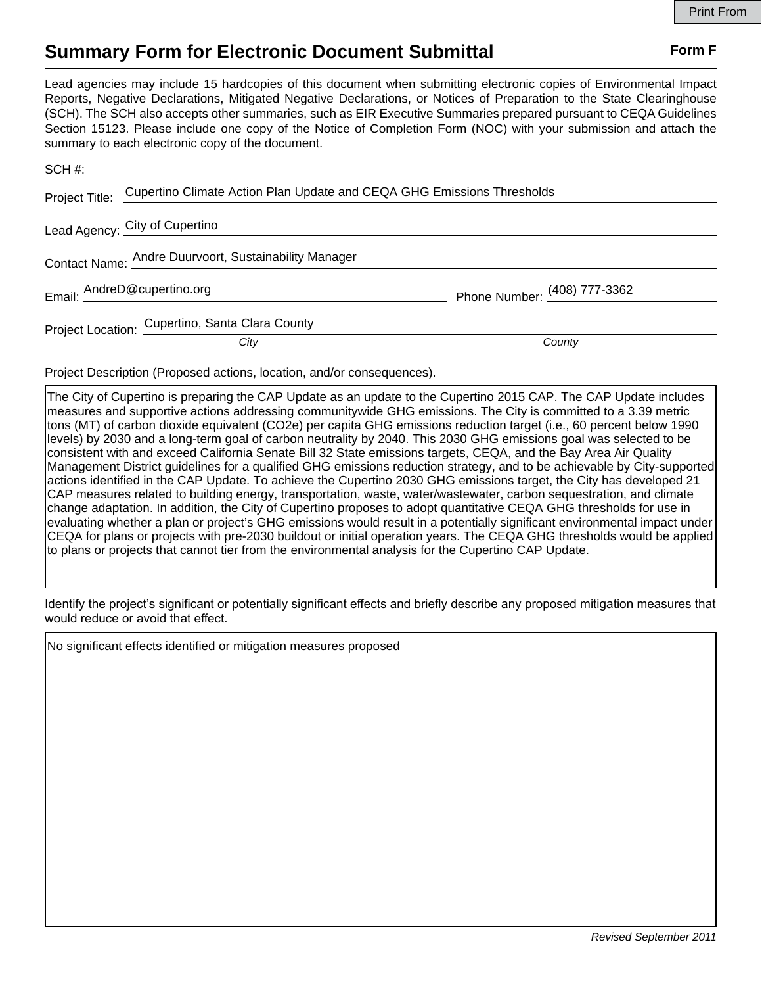## **Summary Form for Electronic Document Submittal Form F Form F**

Lead agencies may include 15 hardcopies of this document when submitting electronic copies of Environmental Impact Reports, Negative Declarations, Mitigated Negative Declarations, or Notices of Preparation to the State Clearinghouse (SCH). The SCH also accepts other summaries, such as EIR Executive Summaries prepared pursuant to CEQA Guidelines Section 15123. Please include one copy of the Notice of Completion Form (NOC) with your submission and attach the summary to each electronic copy of the document.

|  | Project Title: Cupertino Climate Action Plan Update and CEQA GHG Emissions Thresholds |                              |
|--|---------------------------------------------------------------------------------------|------------------------------|
|  | Lead Agency: City of Cupertino                                                        |                              |
|  | Contact Name: Andre Duurvoort, Sustainability Manager                                 |                              |
|  | Email: AndreD@cupertino.org                                                           | Phone Number: (408) 777-3362 |
|  | Project Location: Cupertino, Santa Clara County                                       |                              |
|  | City                                                                                  | County                       |

Project Description (Proposed actions, location, and/or consequences).

The City of Cupertino is preparing the CAP Update as an update to the Cupertino 2015 CAP. The CAP Update includes measures and supportive actions addressing communitywide GHG emissions. The City is committed to a 3.39 metric tons (MT) of carbon dioxide equivalent (CO2e) per capita GHG emissions reduction target (i.e., 60 percent below 1990 levels) by 2030 and a long-term goal of carbon neutrality by 2040. This 2030 GHG emissions goal was selected to be consistent with and exceed California Senate Bill 32 State emissions targets, CEQA, and the Bay Area Air Quality Management District guidelines for a qualified GHG emissions reduction strategy, and to be achievable by City-supported actions identified in the CAP Update. To achieve the Cupertino 2030 GHG emissions target, the City has developed 21 CAP measures related to building energy, transportation, waste, water/wastewater, carbon sequestration, and climate change adaptation. In addition, the City of Cupertino proposes to adopt quantitative CEQA GHG thresholds for use in evaluating whether a plan or project's GHG emissions would result in a potentially significant environmental impact under CEQA for plans or projects with pre-2030 buildout or initial operation years. The CEQA GHG thresholds would be applied to plans or projects that cannot tier from the environmental analysis for the Cupertino CAP Update.

Identify the project's significant or potentially significant effects and briefly describe any proposed mitigation measures that would reduce or avoid that effect.

No significant effects identified or mitigation measures proposed